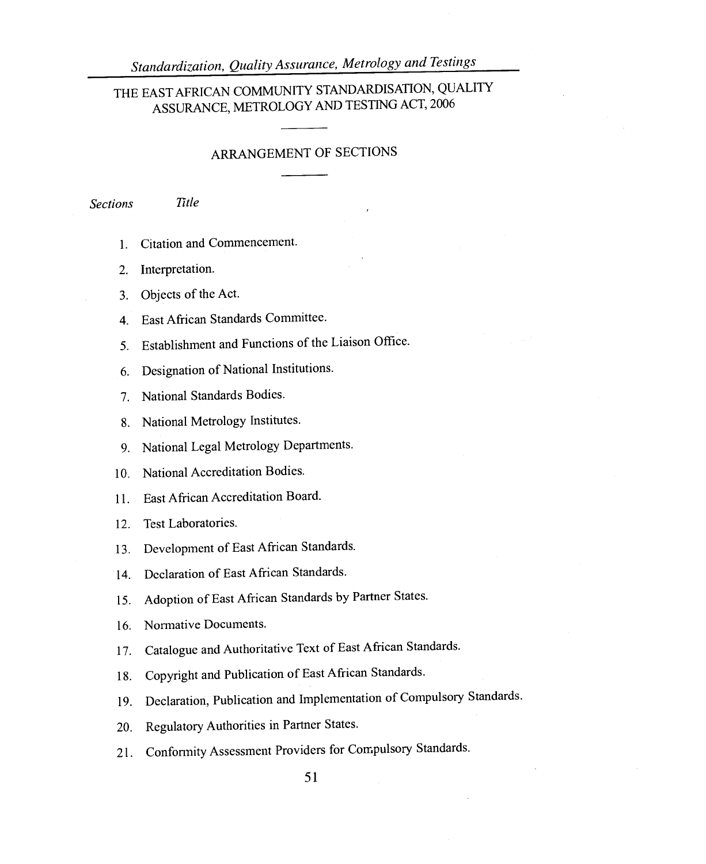## *Standardization, Quality Assurance, Metrology and Testings*

## THE EAST AFRICAN COMMUNITY STANDARDISATION, QUALITY ASSURANCE, METROLOGY AND TESTING ACT, 2006

## ARRANGEMENT OF SECTIONS

*Sections Title* 

- 1. Citation and Commencement.
- 2. Interpretation.
- 3. Objects of the Act.
- 4. East African Standards Committee.
- 5. Establishment and Functions of the Liaison Office.
- 6. Designation of National Institutions.
- 7. National Standards Bodies.
- 8. National Metrology Institutes.
- 9. National Legal Metrology Departments.
- 10. National Accreditation Bodies.
- 11. East African Accreditation Board.
- 12. Test Laboratories.
- 13. Development of East African Standards.
- 14. Declaration of East African Standards.
- 15. Adoption of East African Standards by Partner States.
- 16. Normative Documents.
- 17. Catalogue and Authoritative Text of East African Standards.
- 18. Copyright and Publication of East African Standards.
- 19. Declaration, Publication and Implementation of Compulsory Standards.
- 20. Regulatory Authorities in Partner States.
- 21. Conformity Assessment Providers for Compulsory Standards.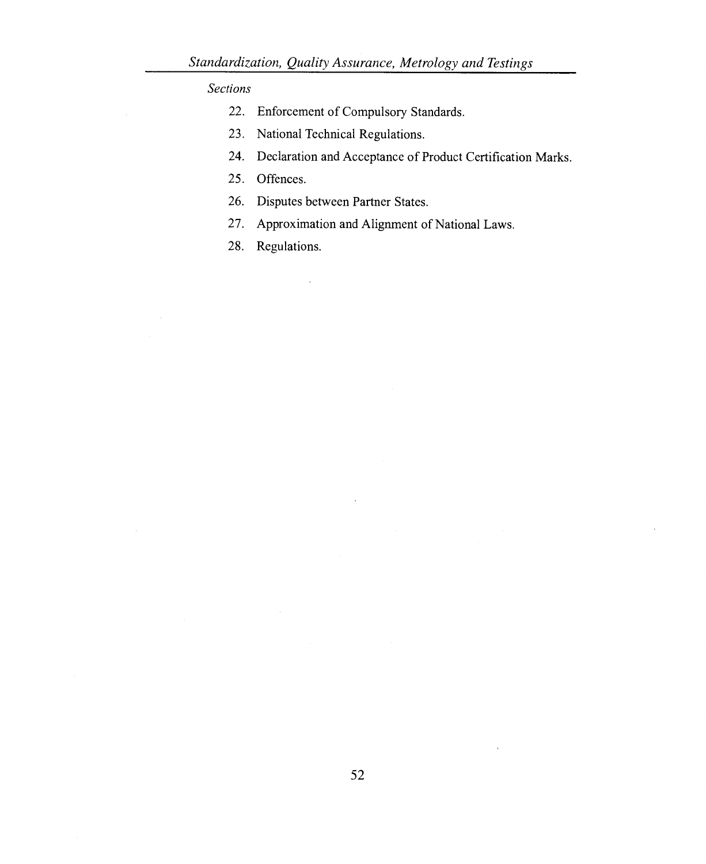*Sections* 

- 22. Enforcement of Compulsory Standards.
- 23. National Technical Regulations.
- 24. Declaration and Acceptance of Product Certification Marks.
- 25. Offences.
- 26. Disputes between Partner States.
- 27. Approximation and Alignment of National Laws.
- 28. Regulations.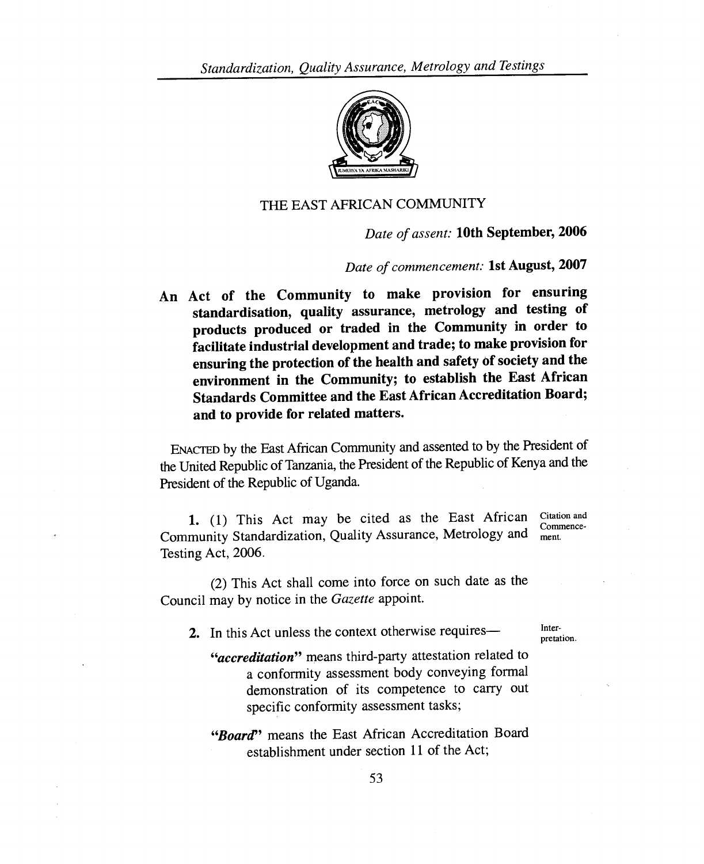

## THE EAST AFRICAN COMMUNITY

*Date of assent:* **10th September, 2006** 

*Date of commencement:* **1st August, 2007** 

**An Act of the Community to make provision for ensuring standardisation, quality assurance, metrology and testing of products produced or traded in the Community in order to facilitate industrial development and trade; to make provision for ensuring the protection of the health and safety of society and the environment in the Community; to establish the East African Standards Committee and the East African Accreditation Board; and to provide for related matters.** 

ENACTED by the East African Community and assented to by the President of the United Republic of Tanzania, the President of the Republic of Kenya and the President of the Republic of Uganda.

1. (1) This Act may be cited as the East African Community Standardization, Quality Assurance, Metrology and ment. Testing Act, 2006. Citation and Commence-

(2) This Act shall come into force on such date as the Council may by notice in the *Gazette* appoint.

2. In this Act unless the context otherwise requires—

Interpretation.

*"accreditation"* means third-party attestation related to a conformity assessment body conveying formal demonstration of its competence to carry out specific conformity assessment tasks;

*"Board"* means the East African Accreditation Board establishment under section 11 of the Act;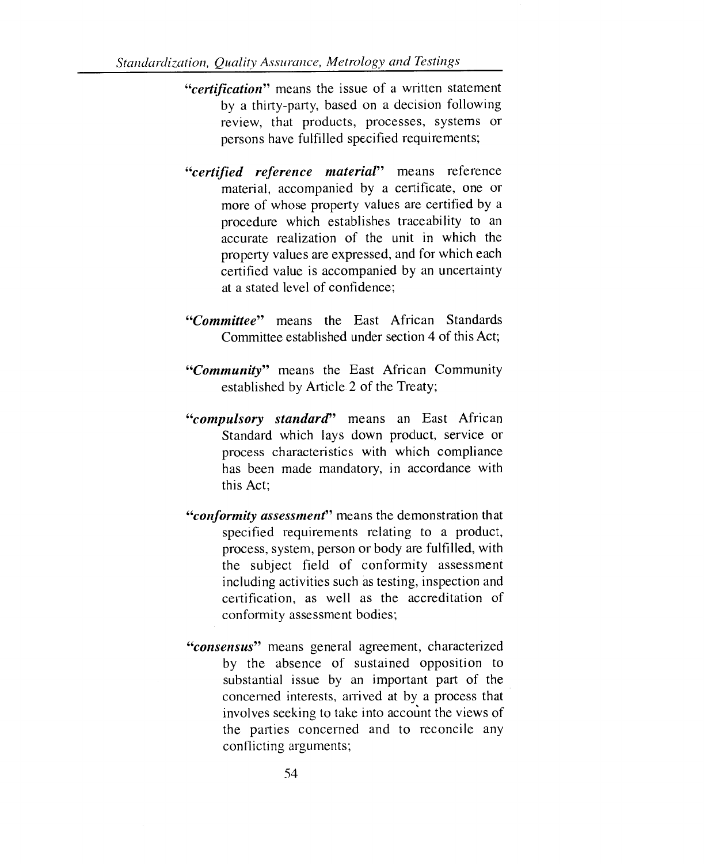- *"certification"* means the issue of a written statement by a thirty-party, based on a decision following review, that products, processes, systems or persons have fulfilled specified requirements;
- *"certified reference material"* means reference material, accompanied by a certificate, one or more of whose property values are certified by a procedure which establishes traceability to an accurate realization of the unit in which the property values are expressed, and for which each certified value is accompanied by an uncertainty at a stated level of confidence;
- *"Committee"* means the East African Standards Committee established under section 4 of this Act;
- *"Community"* means the East African Community established by Article 2 of the Treaty;
- *"compulsory standard"* means an East African Standard which lays down product, service or process characteristics with which compliance has been made mandatory, in accordance with this Act;
- *"conformity assessment"* means the demonstration that specified requirements relating to a product, process, system, person or body are fulfilled, with the subject field of conformity assessment including activities such as testing, inspection and certification, as well as the accreditation of conformity assessment bodies;
- *"consensus"* means general agreement, characterized by the absence of sustained opposition to substantial issue by an important part of the concerned interests, arrived at by a process that involves seeking to take into account the views of the parties concerned and to reconcile any conflicting arguments;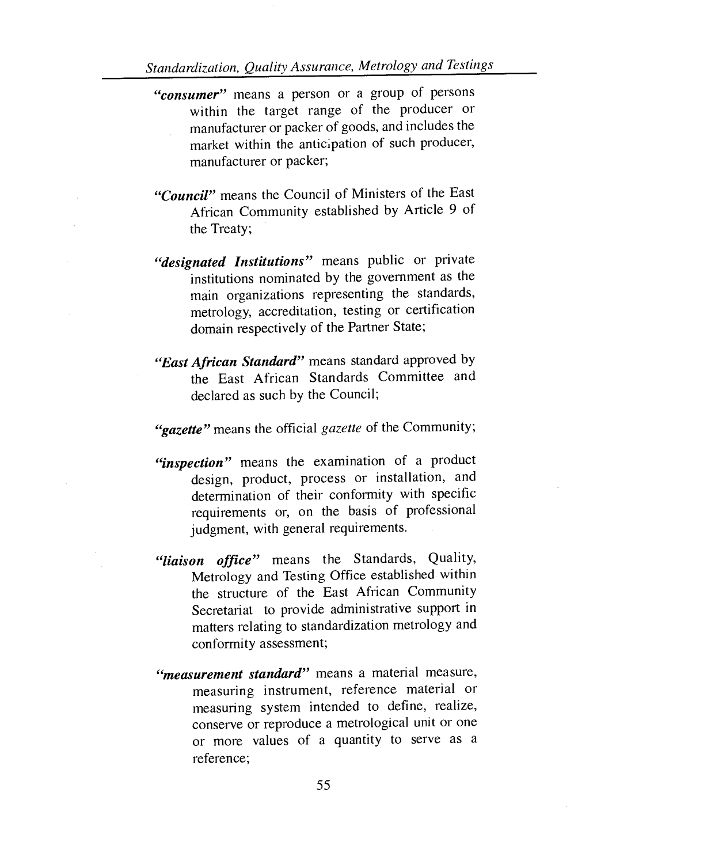- *"consumer"* means a person or a group of persons within the target range of the producer or manufacturer or packer of goods, and includes the market within the anticipation of such producer, manufacturer or packer;
- *"Council"* means the Council of Ministers of the East African Community established by Article 9 of the Treaty;
- *"designated Institutions"* means public or private institutions nominated by the government as the main organizations representing the standards, metrology, accreditation, testing or certification domain respectively of the Partner State;
- *"East African Standard"* means standard approved by the East African Standards Committee and declared as such by the Council;

*"gazette"* means the official *gazette* of the Community;

- *"inspection"* means the examination of a product design, product, process or installation, and determination of their conformity with specific requirements or, on the basis of professional judgment, with general requirements.
- *"liaison office"* means the Standards, Quality, Metrology and Testing Office established within the structure of the East African Community Secretariat to provide administrative support in matters relating to standardization metrology and conformity assessment;
- *"measurement standard"* means a material measure, measuring instrument, reference material or measuring system intended to define, realize, conserve or reproduce a metrological unit or one or more values of a quantity to serve as a reference;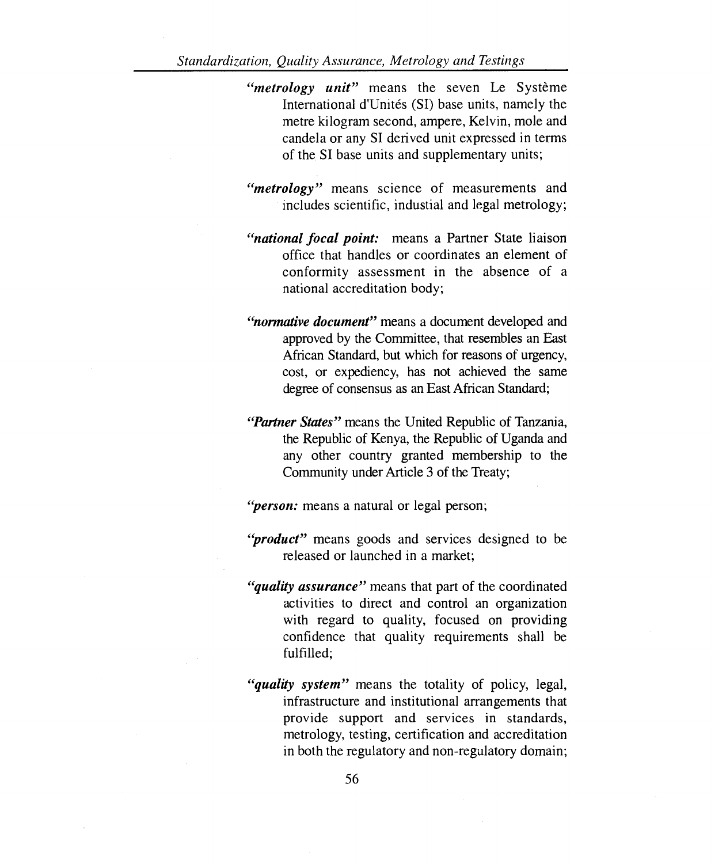- "*metrology unit*" means the seven Le Système International d'Unités (SI) base units, namely the metre kilogram second, ampere, Kelvin, mole and candela or any SI derived unit expressed in terms of the SI base units and supplementary units;
- *"metrology"* means science of measurements and includes scientific, industial and legal metrology;
- *"national focal point:* means a Partner State liaison office that handles or coordinates an element of conformity assessment in the absence of a national accreditation body;
- *"normative document"* means a document developed and approved by the Committee, that resembles an East African Standard, but which for reasons of urgency, cost, or expediency, has not achieved the same degree of consensus as an East African Standard;
- *"Partner States"* means the United Republic of Tanzania, the Republic of Kenya, the Republic of Uganda and any other country granted membership to the Community under Article 3 of the Treaty;

*"person:* means a natural or legal person;

- *"product"* means goods and services designed to be released or launched in a market;
- *"quality assurance"* means that part of the coordinated activities to direct and control an organization with regard to quality, focused on providing confidence that quality requirements shall be fulfilled;
- *"quality system"* means the totality of policy, legal, infrastructure and institutional arrangements that provide support and services in standards, metrology, testing, certification and accreditation in both the regulatory and non-regulatory domain;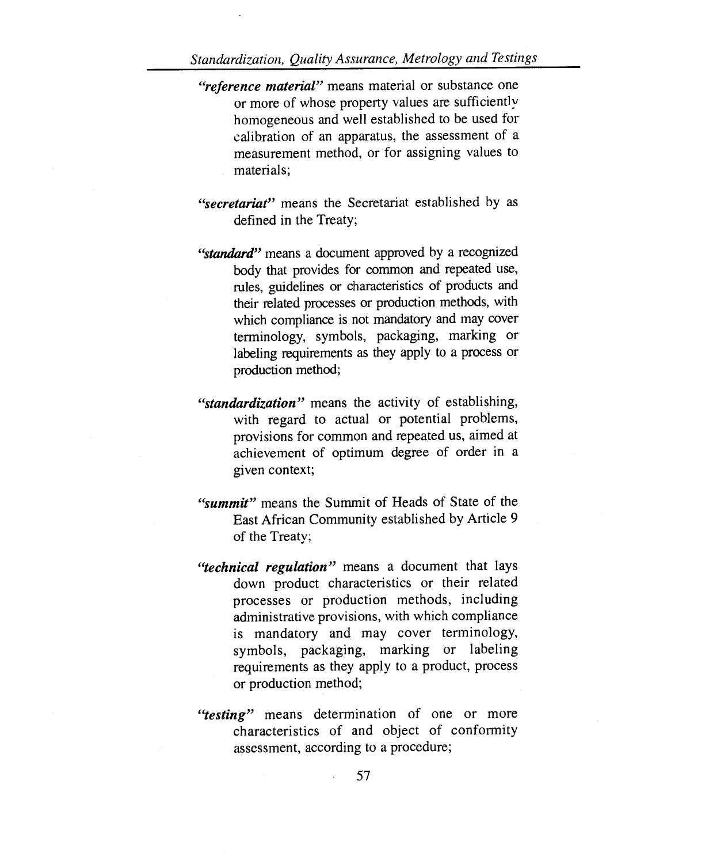- *"reference material"* means material or substance one or more of whose property values are sufficiently homogeneous and well established to be used for calibration of an apparatus, the assessment of a measurement method, or for assigning values to materials;
- *"secretariat"* means the Secretariat established by as defined in the Treaty;
- *"standard"* means a document approved by a recognized body that provides for common and repeated use, rules, guidelines or characteristics of products and their related processes or production methods, with which compliance is not mandatory and may cover terminology, symbols, packaging, marking or labeling requirements as they apply to a process or production method;
- *"standardization"* means the activity of establishing, with regard to actual or potential problems, provisions for common and repeated us, aimed at achievement of optimum degree of order in a given context;
- *"summit"* means the Summit of Heads of State of the East African Community established by Article 9 of the Treaty;
- *"technical regulation"* means a document that lays down product characteristics or their related processes or production methods, including administrative provisions, with which compliance is mandatory and may cover terminology, symbols, packaging, marking or labeling requirements as they apply to a product, process or production method;
- "testing" means determination of one or more characteristics of and object of conformity assessment, according to a procedure;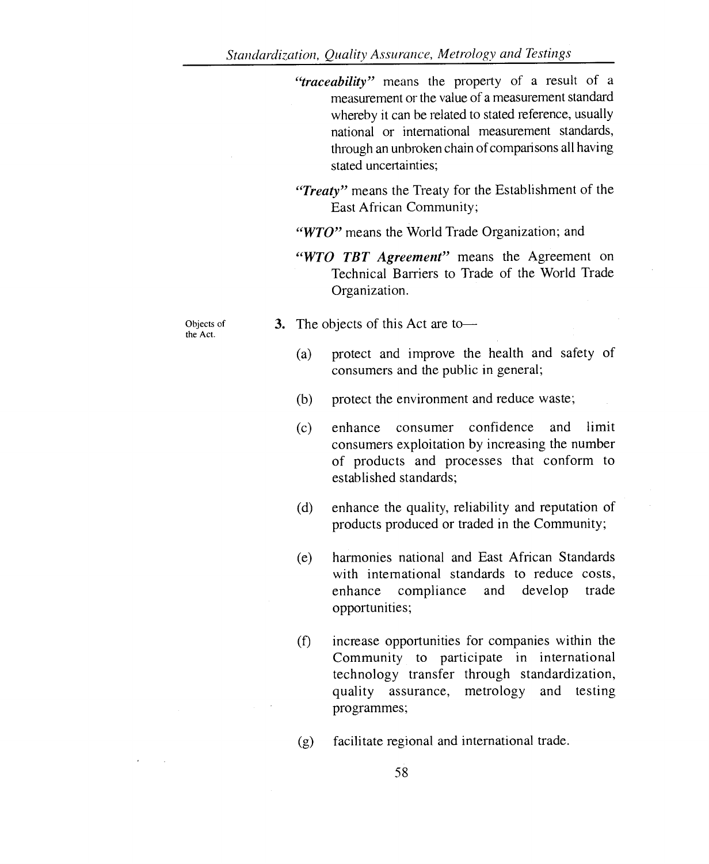*"traceability"* means the property of a result of a measurement or the value of a measurement standard whereby it can be related to stated reference, usually national or international measurement standards, through an unbroken chain of comparisons all having stated uncertainties;

*"Treaty"* means the Treaty for the Establishment of the East African Community;

- *"WTO"* means the World Trade Organization; and
- *"WTO TBT Agreement"* means the Agreement on Technical Barriers to Trade of the World Trade Organization.

Objects of the Act.

- 3. The objects of this Act are to—
	- (a) protect and improve the health and safety of consumers and the public in general;
	- (b) protect the environment and reduce waste;
	- (c) enhance consumer confidence and limit consumers exploitation by increasing the number of products and processes that conform to established standards;
	- (d) enhance the quality, reliability and reputation of products produced or traded in the Community;
	- (e) harmonies national and East African Standards with international standards to reduce costs, enhance compliance and develop trade opportunities;
	- (f) increase opportunities for companies within the Community to participate in international technology transfer through standardization, quality assurance, metrology and testing programmes;
	- (g) facilitate regional and international trade.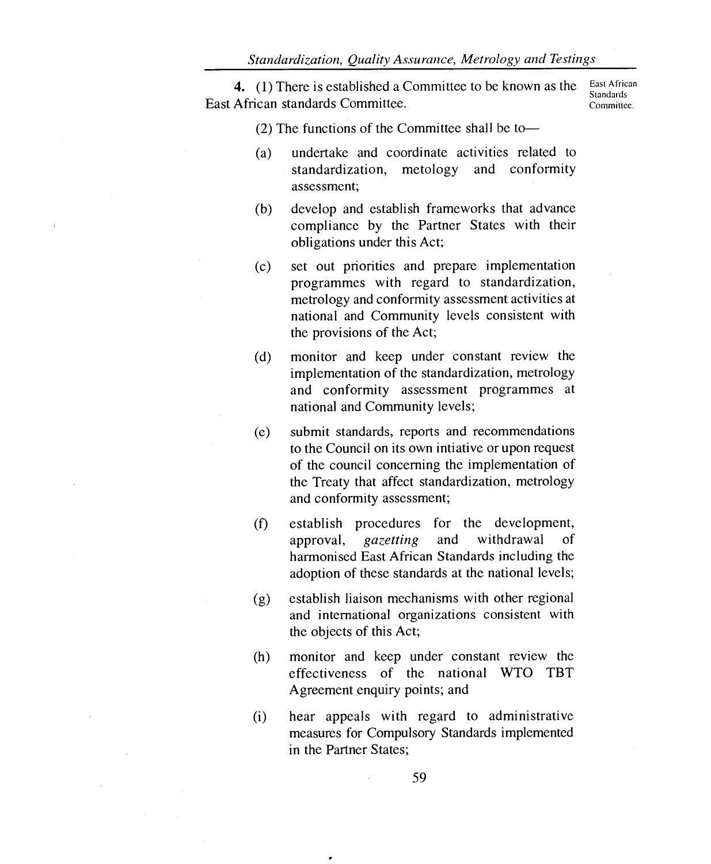**4.** (1) There is established a Committee to be known as the East African East African standards Committee.

Standards<br>Committee.

(2) The functions of the Committee shall be to—

- (a) undertake and coordinate activities related to standardization, metology and conformity assessment;
- (b) develop and establish frameworks that advance compliance by the Partner States with their obligations under this Act;
- (c) set out priorities and prepare implementation programmes with regard to standardization, metrology and conformity assessment activities at national and Community levels consistent with the provisions of the Act;
- (d) monitor and keep under constant review the implementation of the standardization, metrology and conformity assessment programmes at national and Community levels;
- (e) submit standards, reports and recommendations to the Council on its own intiative or upon request of the council concerning the implementation of the Treaty that affect standardization, metrology and conformity assessment;
- (f) establish procedures for the development, approval, *gazetting* and withdrawal harmonised East African Standards including the adoption of these standards at the national levels;
- establish liaison mechanisms with other regional  $(g)$ and international organizations consistent with the objects of this Act;
- monitor and keep under constant review the  $(h)$ effectiveness of the national WTO TBT Agreement enquiry points; and
- $(i)$ hear appeals with regard to administrative measures for Compulsory Standards implemented in the Partner States;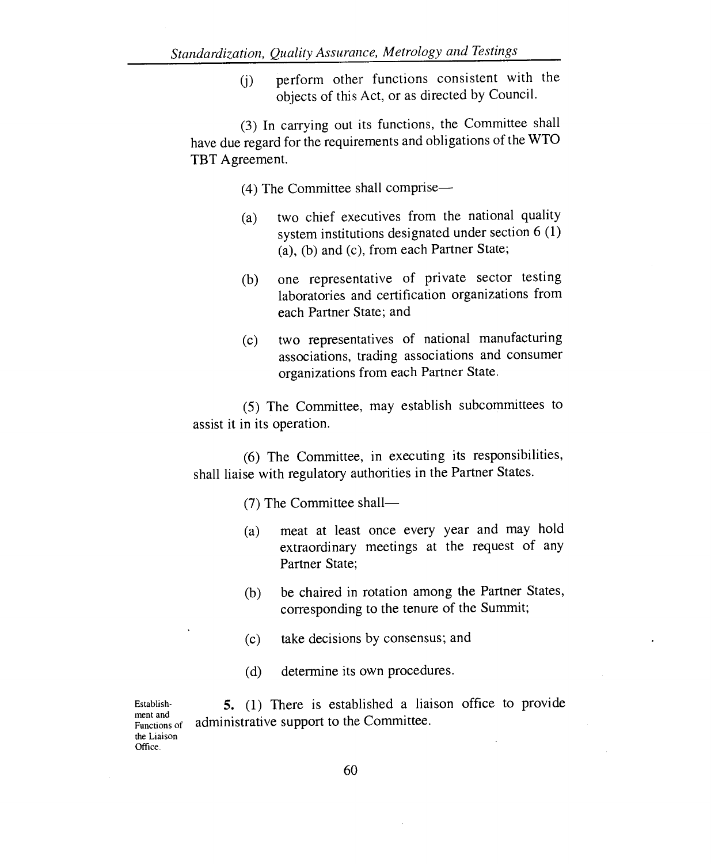(j) perform other functions consistent with the objects of this Act, or as directed by Council.

(3) In carrying out its functions, the Committee shall have due regard for the requirements and obligations of the WTO TBT Agreement.

(4) The Committee shall comprise—

- (a) two chief executives from the national quality system institutions designated under section 6 (1) (a), (b) and (c), from each Partner State;
- (b) one representative of private sector testing laboratories and certification organizations from each Partner State; and
- (c) two representatives of national manufacturing associations, trading associations and consumer organizations from each Partner State.

(5) The Committee, may establish subcommittees to assist it in its operation.

(6) The Committee, in executing its responsibilities, shall liaise with regulatory authorities in the Partner States.

(7) The Committee shall—

- (a) meat at least once every year and may hold extraordinary meetings at the request of any Partner State;
- (b) be chaired in rotation among the Partner States, corresponding to the tenure of the Summit;
- (c) take decisions by consensus; and
- (d) determine its own procedures.

Establish- 5. (1) There is established a liaison office to provide ment and<br>Functions of administrative support to the Committee. the Liaison Office.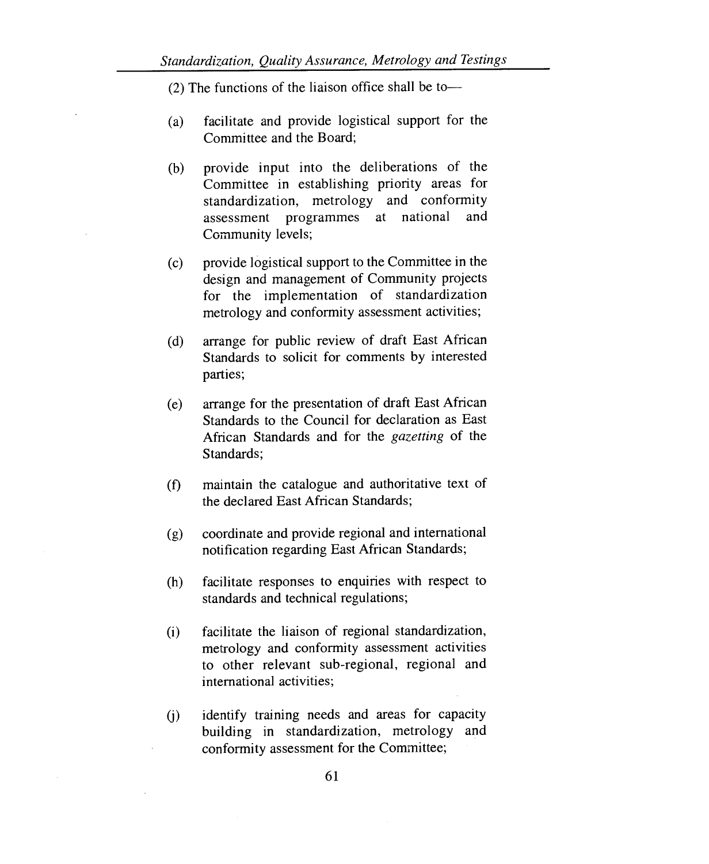(2) The functions of the liaison office shall be to—

- (a) facilitate and provide logistical support for the Committee and the Board;
- (b) provide input into the deliberations of the Committee in establishing priority areas for standardization, metrology and conformity assessment programmes at national and Community levels;
- (c) provide logistical support to the Committee in the design and management of Community projects for the implementation of standardization metrology and conformity assessment activities;
- (d) arrange for public review of draft East African Standards to solicit for comments by interested parties;
- (e) arrange for the presentation of draft East African Standards to the Council for declaration as East African Standards and for the *gazetting* of the Standards;
- (f) maintain the catalogue and authoritative text of the declared East African Standards;
- (g) coordinate and provide regional and international notification regarding East African Standards;
- (h) facilitate responses to enquiries with respect to standards and technical regulations;
- (i) facilitate the liaison of regional standardization, metrology and conformity assessment activities to other relevant sub-regional, regional and international activities;
- (j) identify training needs and areas for capacity building in standardization, metrology and conformity assessment for the Committee;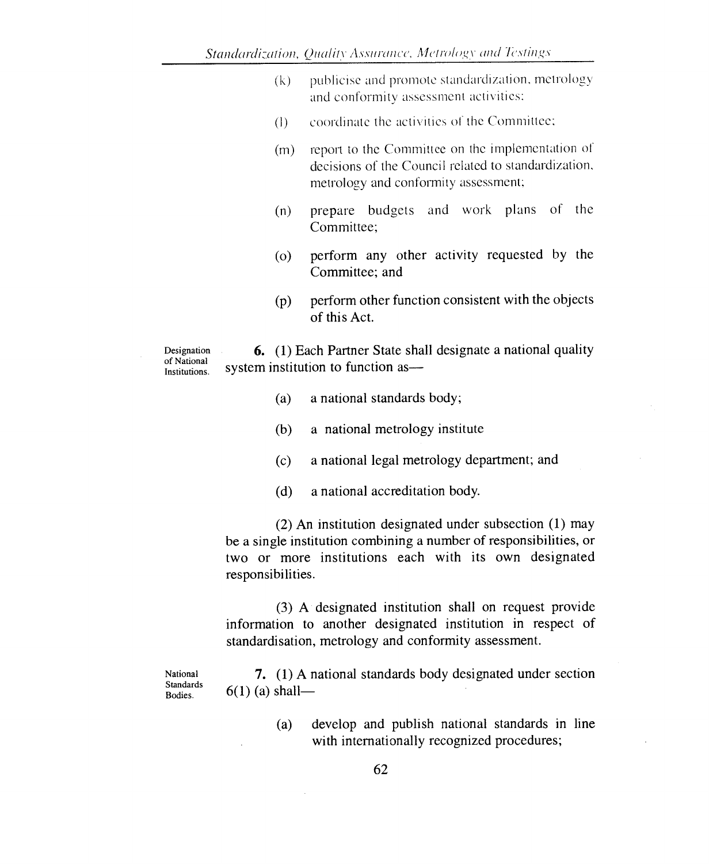- $(k)$  publicise and promote standardization, metrology and conformity assessment activities:
- (1) coordinate the activities of the Committee;
- (m) report to the Committee on the implementation of decisions of the Council related to standardization, metrology and conformity assessment;
- (n) prepare budgets and work plans of the Committee;
- (o) perform any other activity requested by the Committee; and
- (p) perform other function consistent with the objects of this Act.

Designation of National Institutions.

6. (1) Each Partner State shall designate a national quality system institution to function as—

- (a) a national standards body;
- (b) a national metrology institute
- (c) a national legal metrology department; and
- (d) a national accreditation body.

(2) An institution designated under subsection (1) may be a single institution combining a number of responsibilities, or two or more institutions each with its own designated responsibilities.

(3) A designated institution shall on request provide information to another designated institution in respect of standardisation, metrology and conformity assessment.

National Standards Bodies.

7. (1) A national standards body designated under section  $6(1)$  (a) shall—

> (a) develop and publish national standards in line with internationally recognized procedures;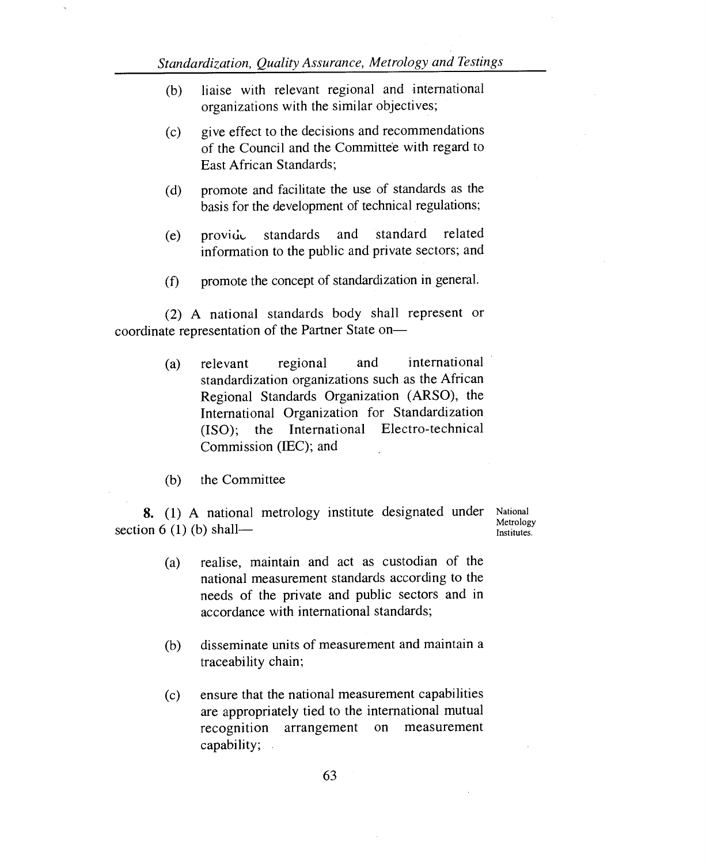- (b) liaise with relevant regional and international organizations with the similar objectives;
- (c) give effect to the decisions and recommendations of the Council and the Committee with regard to East African Standards;
- (d) promote and facilitate the use of standards as the basis for the development of technical regulations;
- (e) provide standards and standard related information to the public and private sectors; and
- (f) promote the concept of standardization in general.

(2) A national standards body shall represent or coordinate representation of the Partner State on—

- (a) relevant regional and international standardization organizations such as the African Regional Standards Organization (ARSO), the International Organization for Standardization (ISO); the International Electro-technical Commission (IEC); and
- (b) the Committee

**8. (1)** A national metrology institute designated under section 6 **(1)** (b) shall—

National Metrology Institutes.

- (a) realise, maintain and act as custodian of the national measurement standards according to the needs of the private and public sectors and in accordance with international standards;
- (b) disseminate units of measurement and maintain a traceability chain;
- (c) ensure that the national measurement capabilities are appropriately tied to the international mutual recognition arrangement on measurement capability;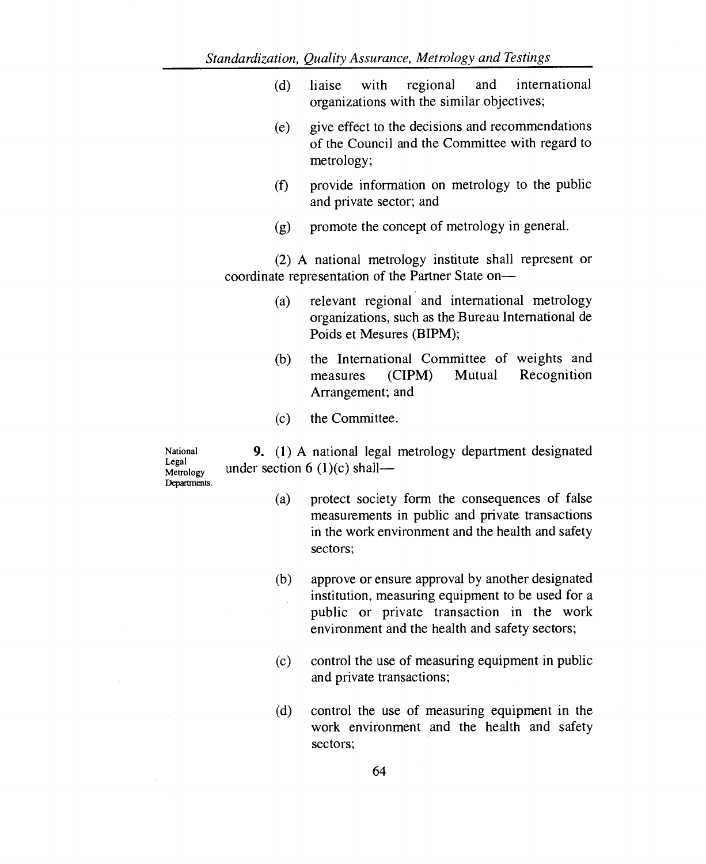- (d) liaise with regional and international organizations with the similar objectives;
- (e) give effect to the decisions and recommendations of the Council and the Committee with regard to metrology;
- (f) provide information on metrology to the public and private sector; and
- promote the concept of metrology in general. (g)

(2) A national metrology institute shall represent or coordinate representation of the Partner State on—

- (a) relevant regional and international metrology organizations, such as the Bureau International de Poids et Mesures (BIPM);
- (b) the International Committee of weights and measures (CIPM) Mutual Recognition Arrangement; and
- (c) the Committee.

National Legal Metrology **9. (1)** A national legal metrology department designated under section  $6(1)(c)$  shall—

- (a) protect society form the consequences of false measurements in public and private transactions in the work environment and the health and safety sectors;
	- (b) approve or ensure approval by another designated institution, measuring equipment to be used for a public or private transaction in the work environment and the health and safety sectors;
	- (c) control the use of measuring equipment in public and private transactions;
	- (d) control the use of measuring equipment in the work environment and the health and safety sectors;

Departments.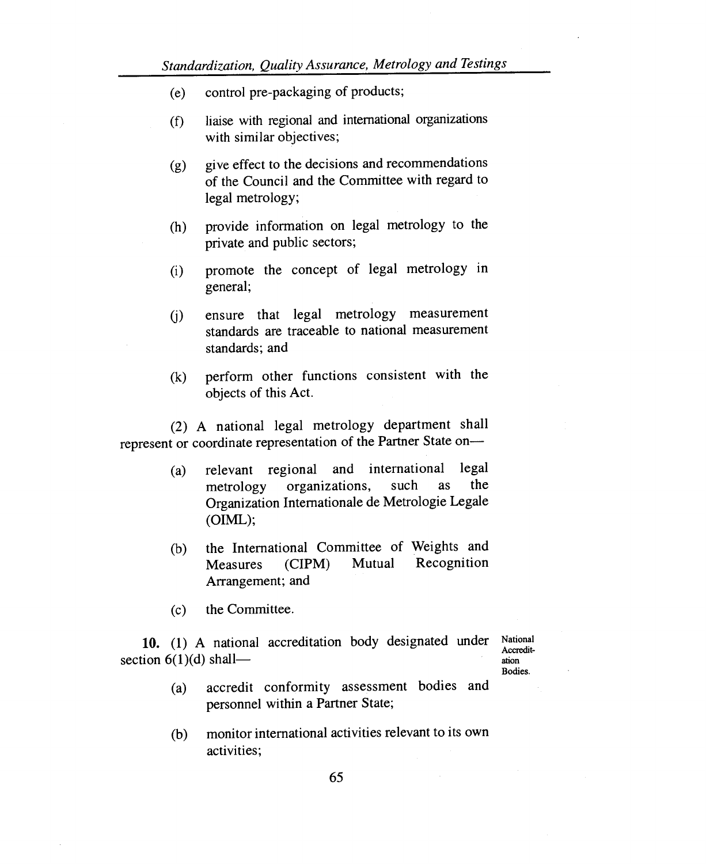- (e) control pre-packaging of products;
- (f) liaise with regional and international organizations with similar objectives;
- $(g)$  give effect to the decisions and recommendations of the Council and the Committee with regard to legal metrology;
- (h) provide information on legal metrology to the private and public sectors;
- (i) promote the concept of legal metrology in general;
- (j) ensure that legal metrology measurement standards are traceable to national measurement standards; and
- (k) perform other functions consistent with the objects of this Act.

(2) A national legal metrology department shall represent or coordinate representation of the Partner State on—

- (a) relevant regional and international legal<br>metrology organizations, such as the metrology organizations, Organization Internationale de Metrologie Legale (OIML);
- (b) the International Committee of Weights and<br>Measures (CIPM) Mutual Recognition Measures (CIPM) Mutual Recognition Arrangement; and
- (c) the Committee.

10. (1) A national accreditation body designated under section  $6(1)(d)$  shall— National

Accreditation Bodies.

- (a) accredit conformity assessment bodies and personnel within a Partner State;
- (b) monitor international activities relevant to its own activities;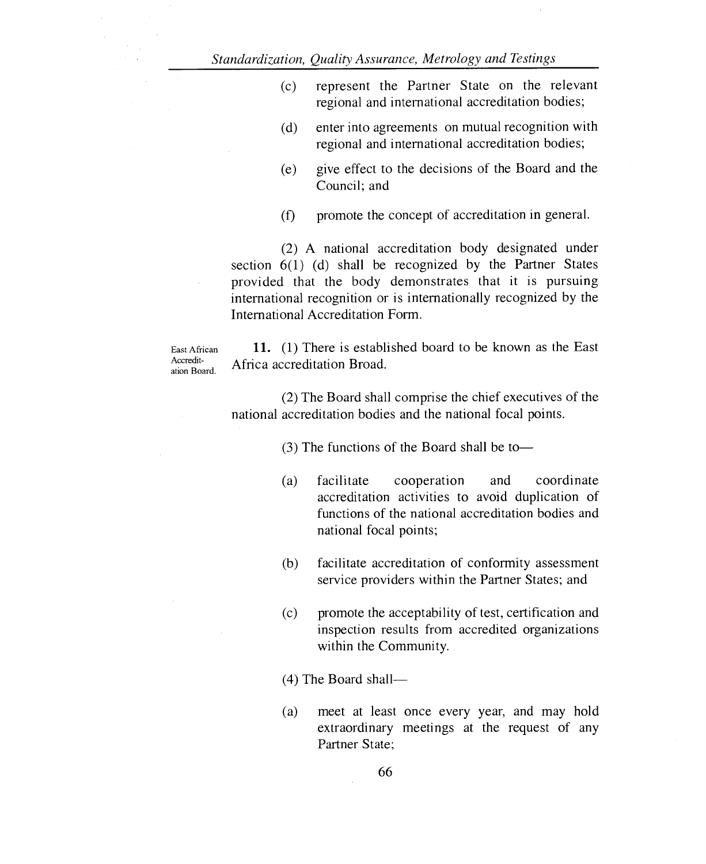- (c) represent the Partner State on the relevant regional and international accreditation bodies;
- (d) enter into agreements on mutual recognition with regional and international accreditation bodies;
- (e) give effect to the decisions of the Board and the Council; and
- (f) promote the concept of accreditation in general.

(2) A national accreditation body designated under section  $6(1)$  (d) shall be recognized by the Partner States provided that the body demonstrates that it is pursuing international recognition or is internationally recognized by the International Accreditation Form.

East African Accreditation Board.

11. (1) There is established board to be known as the East Africa accreditation Broad.

(2) The Board shall comprise the chief executives of the national accreditation bodies and the national focal points.

(3) The functions of the Board shall be to—

- (a) facilitate cooperation and coordinate accreditation activities to avoid duplication of functions of the national accreditation bodies and national focal points;
- (b) facilitate accreditation of conformity assessment service providers within the Partner States; and
- (c) promote the acceptability of test, certification and inspection results from accredited organizations within the Community.
- (4) The Board shall—
- (a) meet at least once every year, and may hold extraordinary meetings at the request of any Partner State;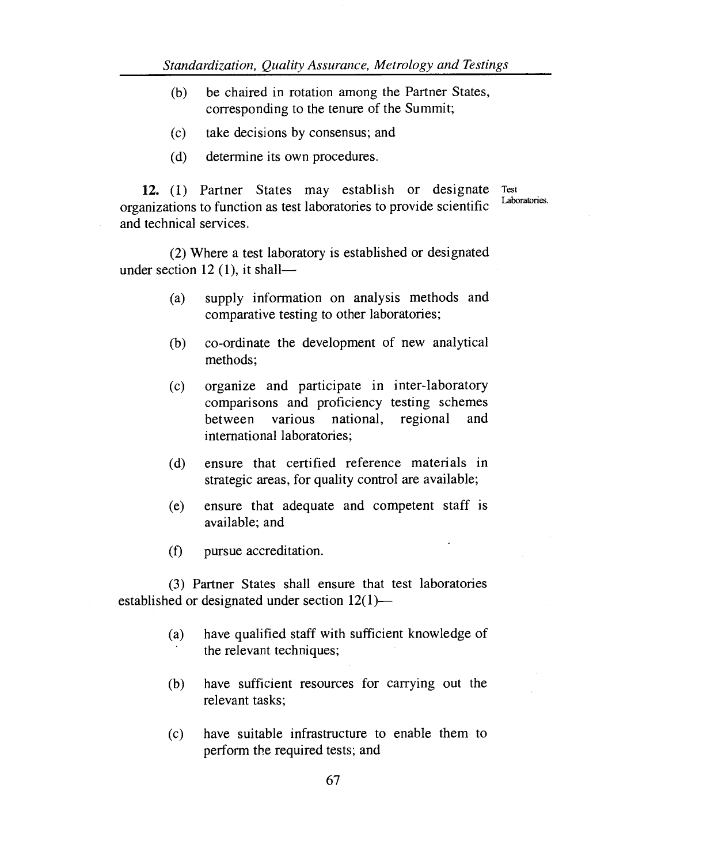- (b) be chaired in rotation among the Partner States, corresponding to the tenure of the Summit;
- (c) take decisions by consensus; and
- (d) determine its own procedures.

12. (1) Partner States may establish or designate Test organizations to function as test laboratories to provide scientific and technical services. Laboratories.

(2) Where a test laboratory is established or designated under section 12 (1), it shall—

- (a) supply information on analysis methods and comparative testing to other laboratories;
- (b) co-ordinate the development of new analytical methods;
- (c) organize and participate in inter-laboratory comparisons and proficiency testing schemes between various national, regional and international laboratories;
- (d) ensure that certified reference materials in strategic areas, for quality control are available;
- (e) ensure that adequate and competent staff is available; and
- (f) pursue accreditation.

(3) Partner States shall ensure that test laboratories established or designated under section 12(1)—

- (a) have qualified staff with sufficient knowledge of the relevant techniques;
- (b) have sufficient resources for carrying out the relevant tasks;
- (c) have suitable infrastructure to enable them to perform the required tests; and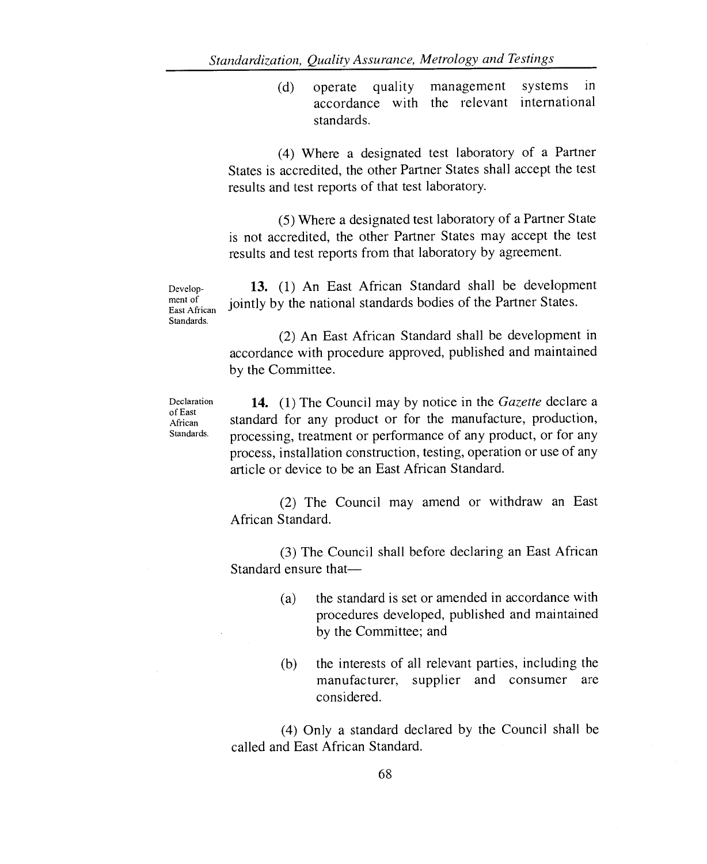(d) operate quality management systems in accordance with the relevant international standards.

(4) Where a designated test laboratory of a Partner States is accredited, the other Partner States shall accept the test results and test reports of that test laboratory.

(5) Where a designated test laboratory of a Partner State is not accredited, the other Partner States may accept the test results and test reports from that laboratory by agreement.

Standards.

Develop-<br> **13.** (1) An East African Standard shall be development<br>
nent of<br>
iointly by the patienal standards bodies of the Partner States ment of  $_{\text{East African}}$  jointly by the national standards bodies of the Partner States.

> (2) An East African Standard shall be development in accordance with procedure approved, published and maintained by the Committee.

Declaration of East African Standards.

**14.** (1) The Council may by notice in the *Gazette* declare a standard for any product or for the manufacture, production, processing, treatment or performance of any product, or for any process, installation construction, testing, operation or use of any article or device to be an East African Standard.

(2) The Council may amend or withdraw an East African Standard.

(3) The Council shall before declaring an East African Standard ensure that—

- (a) the standard is set or amended in accordance with procedures developed, published and maintained by the Committee; and
- (b) the interests of all relevant parties, including the manufacturer, supplier and consumer are considered.

(4) Only a standard declared by the Council shall be called and East African Standard.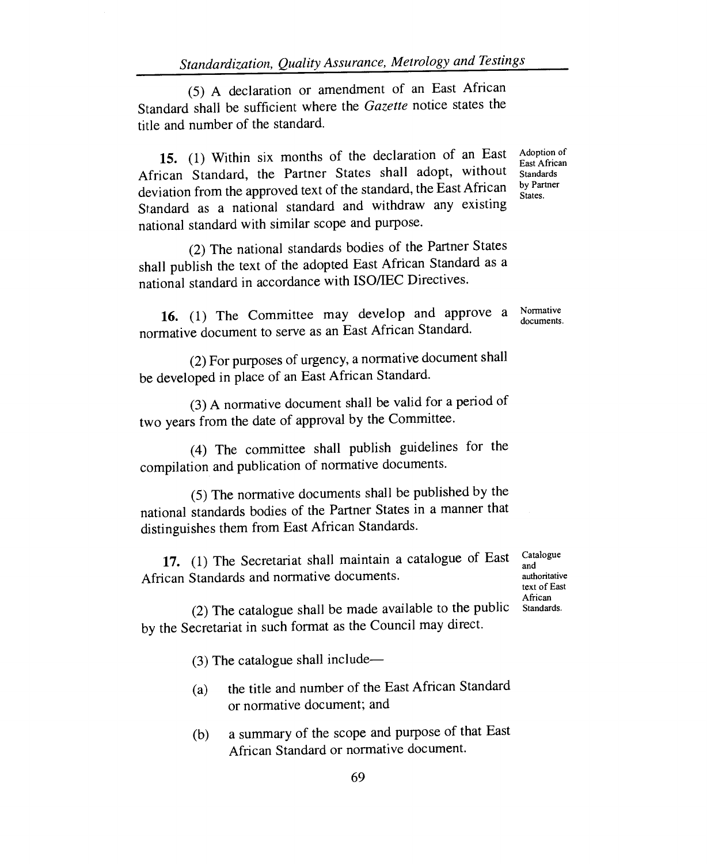(5) A declaration or amendment of an East African Standard shall be sufficient where the *Gazette* notice states the title and number of the standard.

**15.** (1) Within six months of the declaration of an East African Standard, the Partner States shall adopt, without deviation from the approved text of the standard, the East African Standard as a national standard and withdraw any existing national standard with similar scope and purpose.

(2) The national standards bodies of the Partner States shall publish the text of the adopted East African Standard as a national standard in accordance with ISO/IEC Directives.

**16.** (1) The Committee may develop and approve a normative document to serve as an East African Standard.

(2) For purposes of urgency, a normative document shall be developed in place of an East African Standard.

(3) A normative document shall be valid for a period of two years from the date of approval by the Committee.

(4) The committee shall publish guidelines for the compilation and publication of normative documents.

(5) The normative documents shall be published by the national standards bodies of the Partner States in a manner that distinguishes them from East African Standards.

**17.** (1) The Secretariat shall maintain a catalogue of East Catalogue African Standards and normative documents.

and<br>authoritative text of East African<br>Standards.

(2) The catalogue shall be made available to the public by the Secretariat in such format as the Council may direct.

(3) The catalogue shall include—

- (a) the title and number of the East African Standard or normative document; and
- (b) a summary of the scope and purpose of that East African Standard or normative document.

Adoption of East African **Standards** by Partner States.

Normative documents.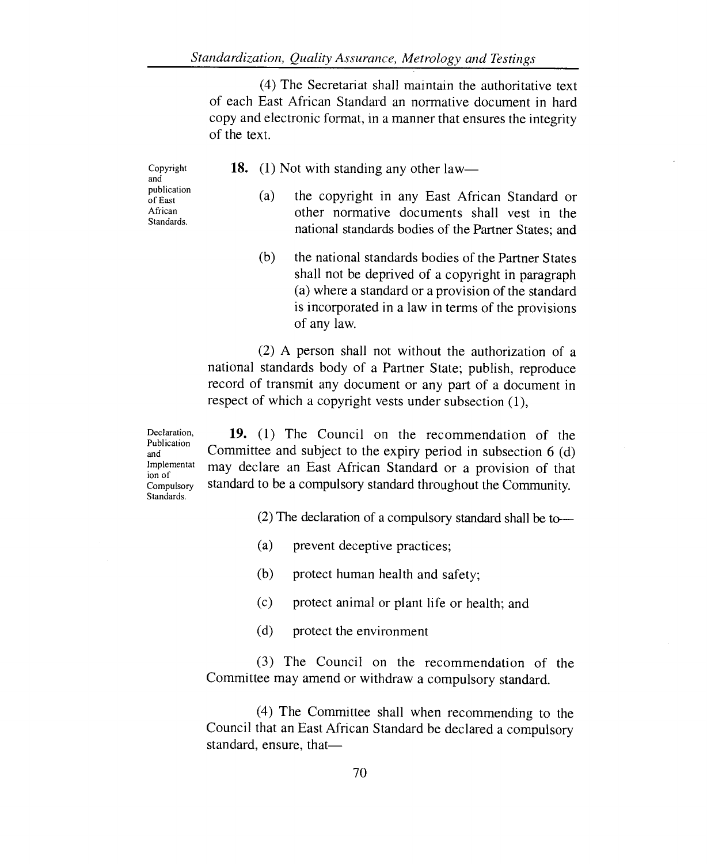(4) The Secretariat shall maintain the authoritative text of each East African Standard an normative document in hard copy and electronic format, in a manner that ensures the integrity of the text.

Copyright and publication of East African Standards.

**18.** (1) Not with standing any other law—

(a) the copyright in any East African Standard or other normative documents shall vest in the national standards bodies of the Partner States; and

(b) the national standards bodies of the Partner States shall not be deprived of a copyright in paragraph (a) where a standard or a provision of the standard is incorporated in a law in terms of the provisions of any law.

(2) A person shall not without the authorization of a national standards body of a Partner State; publish, reproduce record of transmit any document or any part of a document in respect of which a copyright vests under subsection (1),

Declaration, Publication and Implementat ion of Compulsory Standards.

**19.** (1) The Council on the recommendation of the Committee and subject to the expiry period in subsection 6 (d) may declare an East African Standard or a provision of that standard to be a compulsory standard throughout the Community.

(2) The declaration of a compulsory standard shall be to—

- (a) prevent deceptive practices;
- (b) protect human health and safety;
- (c) protect animal or plant life or health; and
- (d) protect the environment

(3) The Council on the recommendation of the Committee may amend or withdraw a compulsory standard.

(4) The Committee shall when recommending to the Council that an East African Standard be declared a compulsory standard, ensure, that-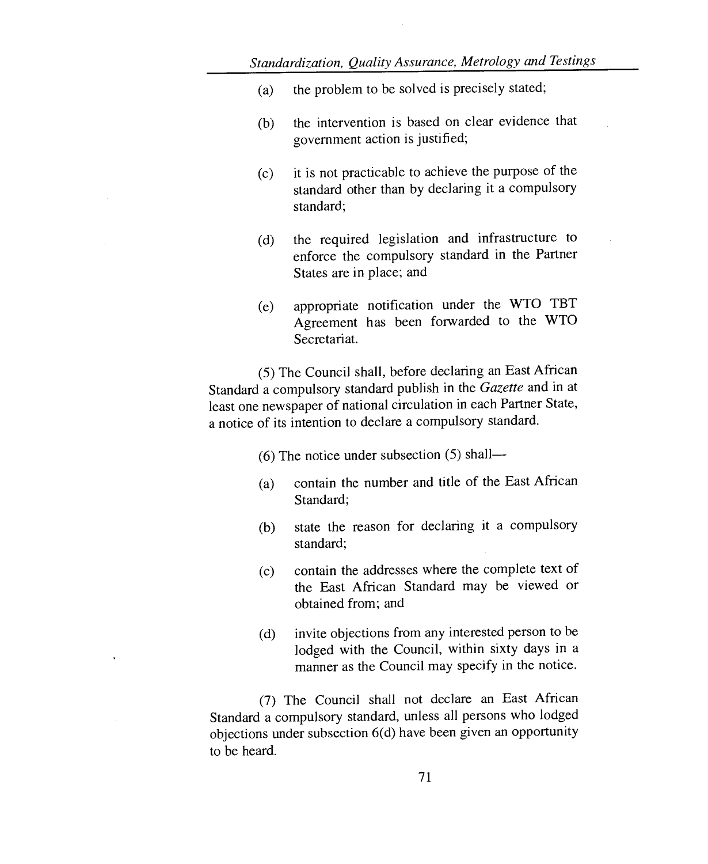- (a) the problem to be solved is precisely stated;
- (b) the intervention is based on clear evidence that government action is justified;
- (c) it is not practicable to achieve the purpose of the standard other than by declaring it a compulsory standard;
- (d) the required legislation and infrastructure to enforce the compulsory standard in the Partner States are in place; and
- (e) appropriate notification under the WTO TBT Agreement has been forwarded to the WTO Secretariat.

(5) The Council shall, before declaring an East African Standard a compulsory standard publish in the *Gazette* and in at least one newspaper of national circulation in each Partner State, a notice of its intention to declare a compulsory standard.

(6) The notice under subsection (5) shall—

- (a) contain the number and title of the East African Standard;
- (b) state the reason for declaring it a compulsory standard;
- (c) contain the addresses where the complete text of the East African Standard may be viewed or obtained from; and
- (d) invite objections from any interested person to be lodged with the Council, within sixty days in a manner as the Council may specify in the notice.

(7) The Council shall not declare an East African Standard a compulsory standard, unless all persons who lodged objections under subsection 6(d) have been given an opportunity to be heard.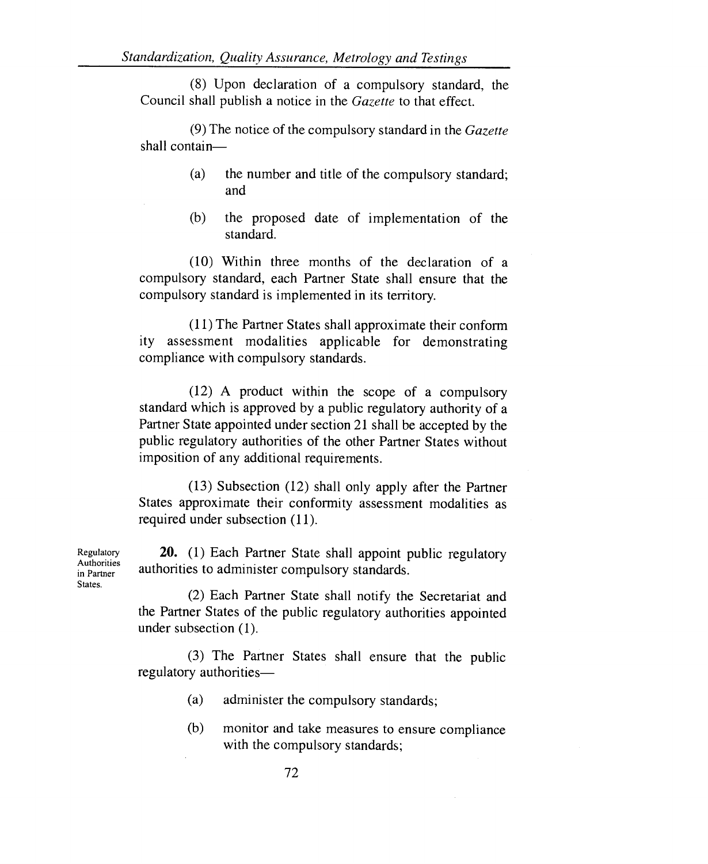(8) Upon declaration of a compulsory standard, the Council shall publish a notice in the *Gazette* to that effect.

(9) The notice of the compulsory standard in the *Gazette*  shall contain—

- (a) the number and title of the compulsory standard; and
- (b) the proposed date of implementation of the standard.

(10) Within three months of the declaration of a compulsory standard, each Partner State shall ensure that the compulsory standard is implemented in its territory.

(11) The Partner States shall approximate their conform ity assessment modalities applicable for demonstrating compliance with compulsory standards.

(12) A product within the scope of a compulsory standard which is approved by a public regulatory authority of a Partner State appointed under section 21 shall be accepted by the public regulatory authorities of the other Partner States without imposition of any additional requirements.

(13) Subsection (12) shall only apply after the Partner States approximate their conformity assessment modalities as required under subsection (11).

**20.** (1) Each Partner State shall appoint public regulatory authorities to administer compulsory standards.

(2) Each Partner State shall notify the Secretariat and the Partner States of the public regulatory authorities appointed under subsection (1).

(3) The Partner States shall ensure that the public regulatory authorities—

- (a) administer the compulsory standards;
- (b) monitor and take measures to ensure compliance with the compulsory standards;

Regulatory **Authorities** in Partner States.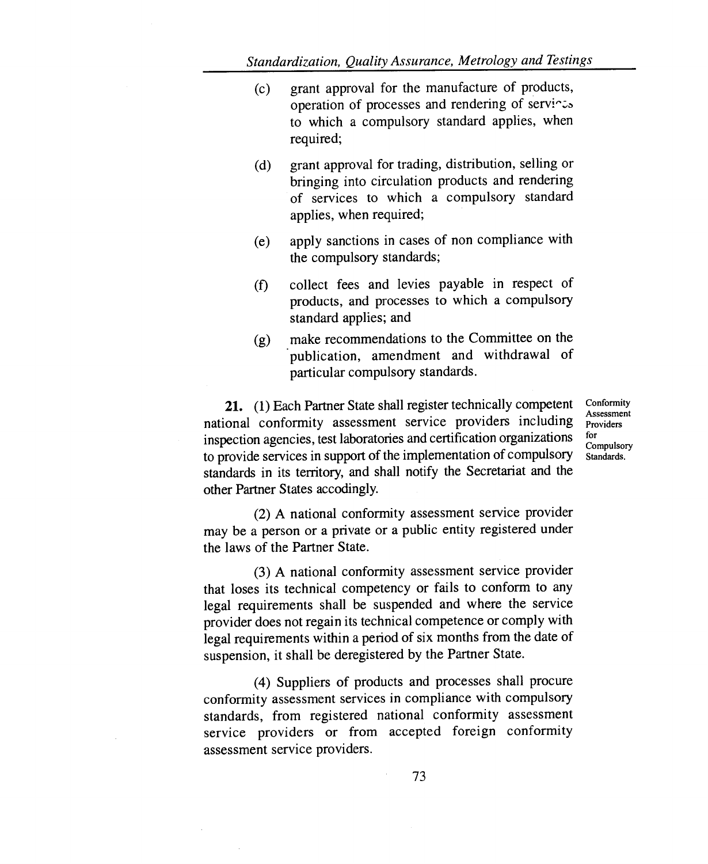- (c) grant approval for the manufacture of products, operation of processes and rendering of services to which a compulsory standard applies, when required;
- (d) grant approval for trading, distribution, selling or bringing into circulation products and rendering of services to which a compulsory standard applies, when required;
- (e) apply sanctions in cases of non compliance with the compulsory standards;
- (f) collect fees and levies payable in respect of products, and processes to which a compulsory standard applies; and
- (g) make recommendations to the Committee on the publication, amendment and withdrawal of particular compulsory standards.

**21.** (1) Each Partner State shall register technically competent national conformity assessment service providers including inspection agencies, test laboratories and certification organizations to provide services in support of the implementation of compulsory standards in its territory, and shall notify the Secretariat and the other Partner States accodingly.

Conformity Assessment Providers for **Compulsory** Standards.

(2) A national conformity assessment service provider may be a person or a private or a public entity registered under the laws of the Partner State.

(3) A national conformity assessment service provider that loses its technical competency or fails to conform to any legal requirements shall be suspended and where the service provider does not regain its technical competence or comply with legal requirements within a period of six months from the date of suspension, it shall be deregistered by the Partner State.

(4) Suppliers of products and processes shall procure conformity assessment services in compliance with compulsory standards, from registered national conformity assessment service providers or from accepted foreign conformity assessment service providers.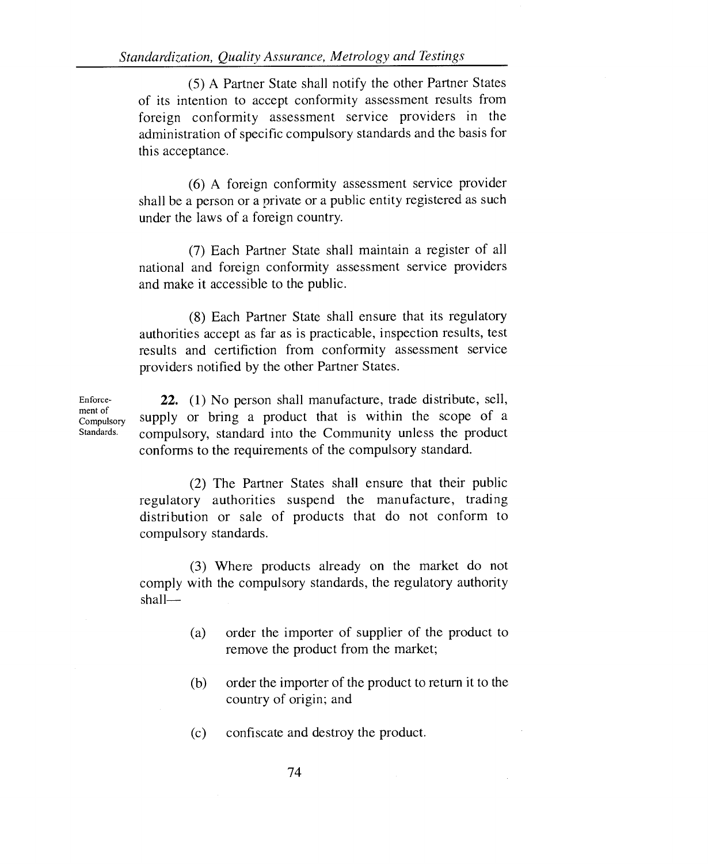*Standardization, Quality Assurance, Metrology and Testings* 

(5) A Partner State shall notify the other Partner States of its intention to accept conformity assessment results from foreign conformity assessment service providers in the administration of specific compulsory standards and the basis for this acceptance.

(6) A foreign conformity assessment service provider shall be a person or a private or a public entity registered as such under the laws of a foreign country.

(7) Each Partner State shall maintain a register of all national and foreign conformity assessment service providers and make it accessible to the public.

(8) Each Partner State shall ensure that its regulatory authorities accept as far as is practicable, inspection results, test results and certifiction from conformity assessment service providers notified by the other Partner States.

Enforce-22. (1) No person shall manufacture, trade distribute, sell, supply or bring a product that is within the scope of a compulsory, standard into the Community unless the product conforms to the requirements of the compulsory standard.

> (2) The Partner States shall ensure that their public regulatory authorities suspend the manufacture, trading distribution or sale of products that do not conform to compulsory standards.

> (3) Where products already on the market do not comply with the compulsory standards, the regulatory authority shall—

- (a) order the importer of supplier of the product to remove the product from the market;
- (b) order the importer of the product to return it to the country of origin; and
- (c) confiscate and destroy the product.

ment of Compulsory Standards.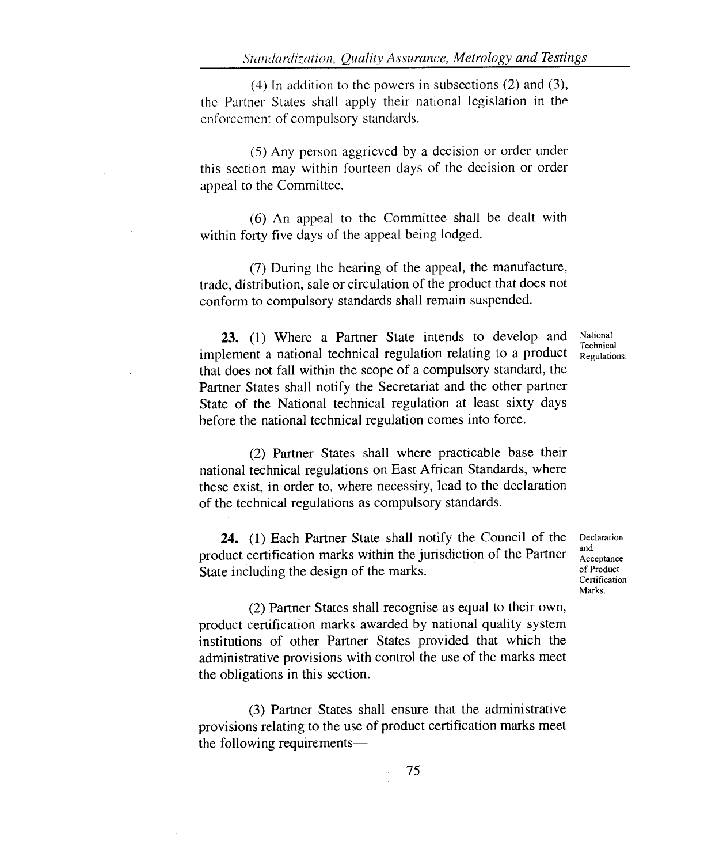(4) In addition to the powers in subsections (2) and (3), the Partner States shall apply their national legislation in the enforcement of compulsory standards.

(5) Any person aggrieved by a decision or order under this section may within fourteen days of the decision or order appeal to the Committee.

(6) An appeal to the Committee shall be dealt with within forty five days of the appeal being lodged.

(7) During the hearing of the appeal, the manufacture, trade, distribution, sale or circulation of the product that does not conform to compulsory standards shall remain suspended.

23. (1) Where a Partner State intends to develop and implement a national technical regulation relating to a product that does not fall within the scope of a compulsory standard, the Partner States shall notify the Secretariat and the other partner State of the National technical regulation at least sixty days before the national technical regulation comes into force.

(2) Partner States shall where practicable base their national technical regulations on East African Standards, where these exist, in order to, where necessiry, lead to the declaration of the technical regulations as compulsory standards.

24. (1) Each Partner State shall notify the Council of the product certification marks within the jurisdiction of the Partner State including the design of the marks.

Declaration and Acceptance of Product Certification Marks.

(2) Partner States shall recognise as equal to their own, product certification marks awarded by national quality system institutions of other Partner States provided that which the administrative provisions with control the use of the marks meet the obligations in this section.

(3) Partner States shall ensure that the administrative provisions relating to the use of product certification marks meet the following requirements—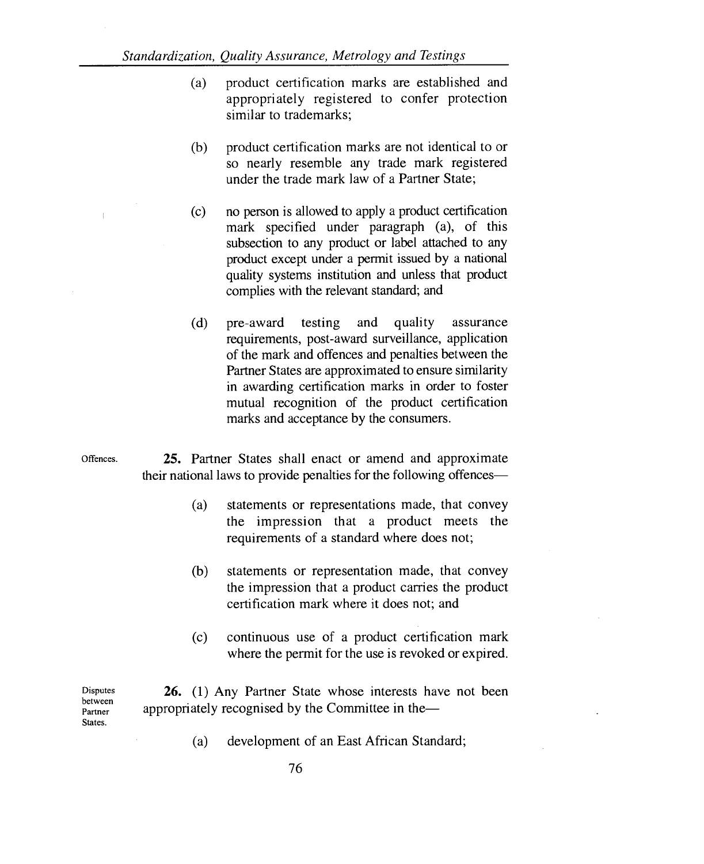- (a) product certification marks are established and appropriately registered to confer protection similar to trademarks;
- (b) product certification marks are not identical to or so nearly resemble any trade mark registered under the trade mark law of a Partner State;
- (c) no person is allowed to apply a product certification mark specified under paragraph (a), of this subsection to any product or label attached to any product except under a permit issued by a national quality systems institution and unless that product complies with the relevant standard; and
- (d) pre-award testing and quality assurance requirements, post-award surveillance, application of the mark and offences and penalties between the Partner States are approximated to ensure similarity in awarding certification marks in order to foster mutual recognition of the product certification marks and acceptance by the consumers.
- Offences. **25.** Partner States shall enact or amend and approximate their national laws to provide penalties for the following offences—
	- (a) statements or representations made, that convey the impression that a product meets the requirements of a standard where does not;
	- (b) statements or representation made, that convey the impression that a product carries the product certification mark where it does not; and
	- (c) continuous use of a product certification mark where the permit for the use is revoked or expired.

Disputes between Partner States. **26.** (1) Any Partner State whose interests have not been appropriately recognised by the Committee in the—

(a) development of an East African Standard;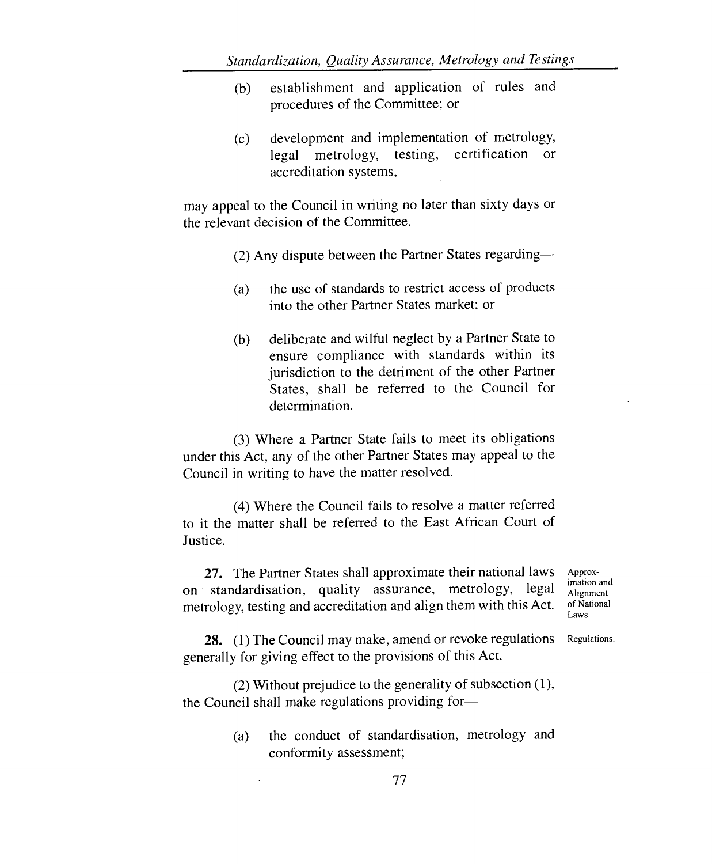- (b) establishment and application of rules and procedures of the Committee; or
- (c) development and implementation of metrology, legal metrology, testing, certification or accreditation systems,

may appeal to the Council in writing no later than sixty days or the relevant decision of the Committee.

- (2) Any dispute between the Partner States regarding—
- (a) the use of standards to restrict access of products into the other Partner States market; or
- (b) deliberate and wilful neglect by a Partner State to ensure compliance with standards within its jurisdiction to the detriment of the other Partner States, shall be referred to the Council for determination.

(3) Where a Partner State fails to meet its obligations under this Act, any of the other Partner States may appeal to the Council in writing to have the matter resolved.

(4) Where the Council fails to resolve a matter referred to it the matter shall be referred to the East African Court of Justice.

27. The Partner States shall approximate their national laws on standardisation, quality assurance, metrology, legal metrology, testing and accreditation and align them with this Act.

Approximation and Alignment of National Laws.

28. (1) The Council may make, amend or revoke regulations generally for giving effect to the provisions of this Act. Regulations.

(2) Without prejudice to the generality of subsection (1), the Council shall make regulations providing for—

> (a) the conduct of standardisation, metrology and conformity assessment;